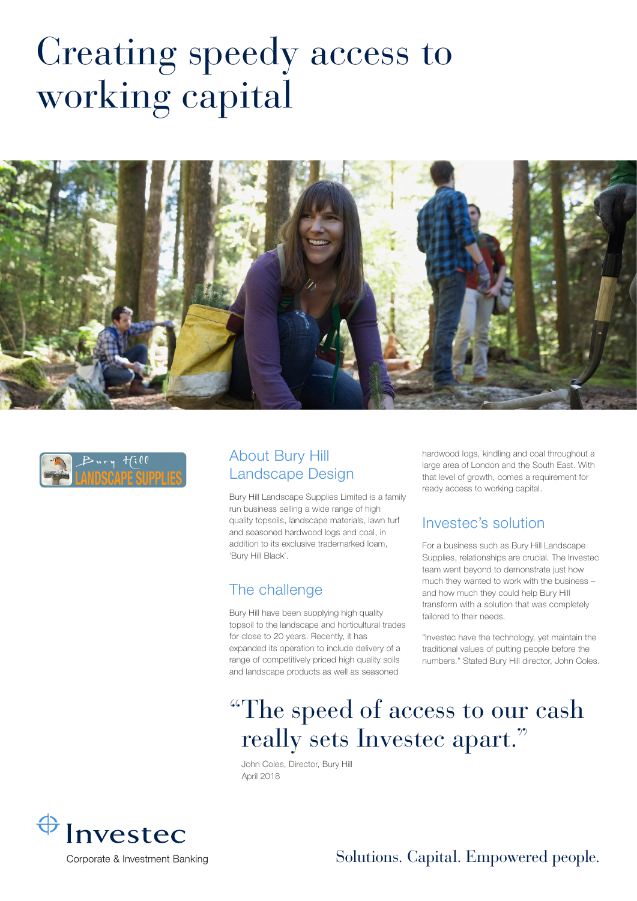# Creating speedy access to working capital





#### About Bury Hill Landscape Design

Bury Hill Landscape Supplies Limited is a family run business selling a wide range of high quality topsoils, landscape materials, lawn turf and seasoned hardwood logs and coal, in addition to its exclusive trademarked loam, 'Bury Hill Black'.

#### The challenge

Bury Hill have been supplying high quality topsoil to the landscape and horticultural trades for close to 20 years. Recently, it has expanded its operation to include delivery of a range of competitively priced high quality soils and landscape products as well as seasoned

hardwood logs, kindling and coal throughout a large area of London and the South East. With that level of growth, comes a requirement for ready access to working capital.

#### Investec's solution

For a business such as Bury Hill Landscape Supplies, relationships are crucial. The Investec team went beyond to demonstrate just how much they wanted to work with the business – and how much they could help Bury Hill transform with a solution that was completely tailored to their needs.

"Investec have the technology, yet maintain the traditional values of putting people before the numbers." Stated Bury Hill director, John Coles.

## "The speed of access to our cash really sets Investec apart."

John Coles, Director, Bury Hill April 2018



#### Solutions. Capital. Empowered people.